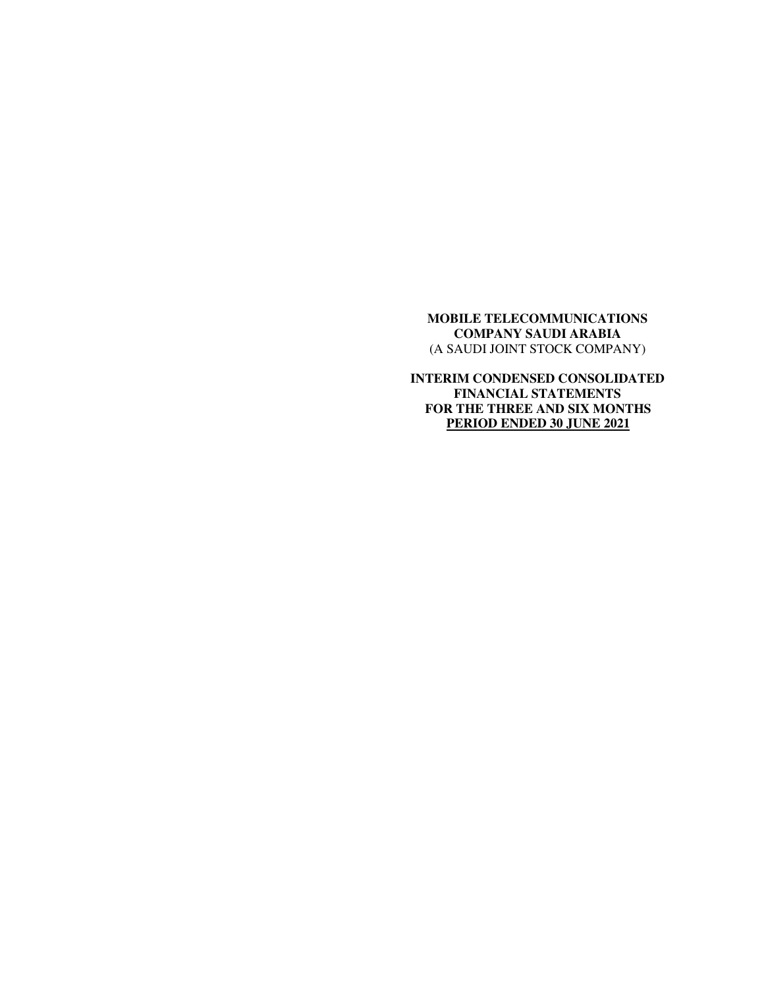**INTERIM CONDENSED CONSOLIDATED FINANCIAL STATEMENTS FOR THE THREE AND SIX MONTHS PERIOD ENDED 30 JUNE 2021**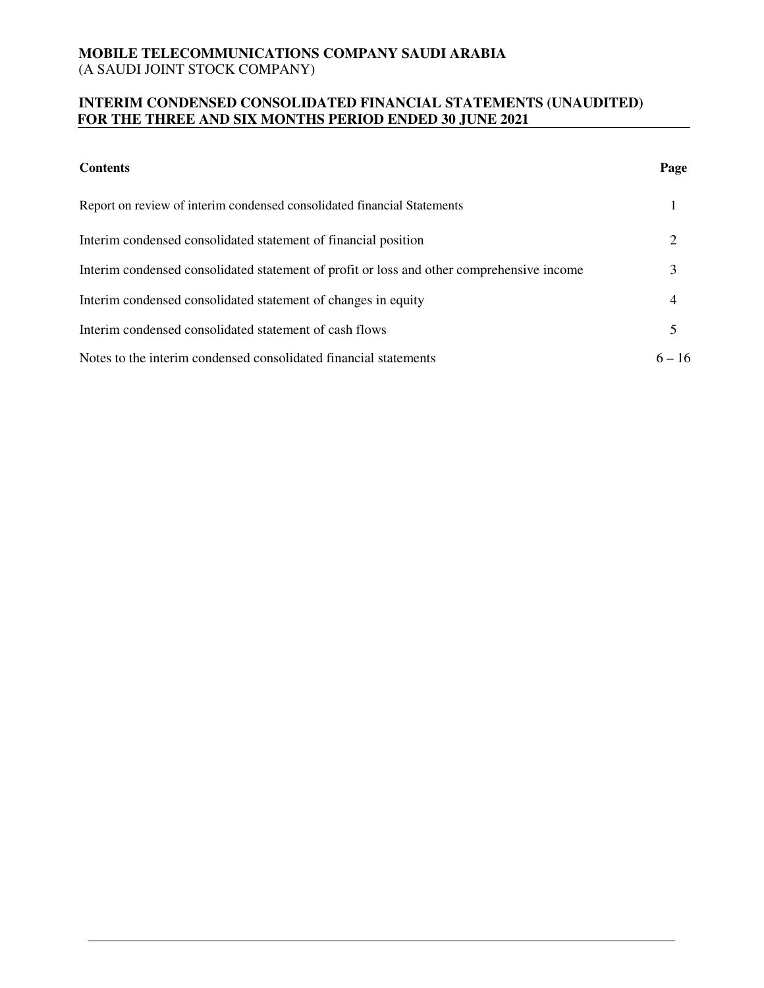## **INTERIM CONDENSED CONSOLIDATED FINANCIAL STATEMENTS (UNAUDITED) FOR THE THREE AND SIX MONTHS PERIOD ENDED 30 JUNE 2021**

| <b>Contents</b>                                                                           | Page           |
|-------------------------------------------------------------------------------------------|----------------|
| Report on review of interim condensed consolidated financial Statements                   |                |
| Interim condensed consolidated statement of financial position                            | 2              |
| Interim condensed consolidated statement of profit or loss and other comprehensive income | 3              |
| Interim condensed consolidated statement of changes in equity                             | $\overline{4}$ |
| Interim condensed consolidated statement of cash flows                                    | 5              |
| Notes to the interim condensed consolidated financial statements                          | $6 - 16$       |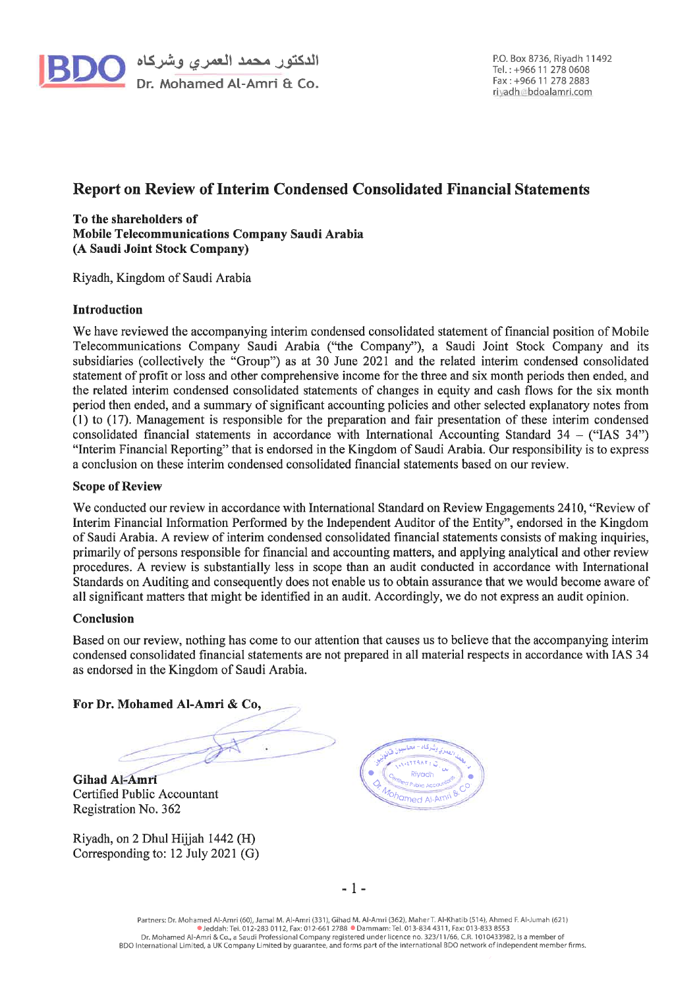

## **Report on Review of Interim Condensed Consolidated Financial Statements**

To the shareholders of Mobile Telecommunications Company Saudi Arabia (A Saudi Joint Stock Company)

Riyadh, Kingdom of Saudi Arabia

### **Introduction**

We have reviewed the accompanying interim condensed consolidated statement of financial position of Mobile Telecommunications Company Saudi Arabia ("the Company"), a Saudi Joint Stock Company and its subsidiaries (collectively the "Group") as at 30 June 2021 and the related interim condensed consolidated statement of profit or loss and other comprehensive income for the three and six month periods then ended, and the related interim condensed consolidated statements of changes in equity and cash flows for the six month period then ended, and a summary of significant accounting policies and other selected explanatory notes from (1) to (17). Management is responsible for the preparation and fair presentation of these interim condensed consolidated financial statements in accordance with International Accounting Standard  $34 -$  ("IAS  $34$ ") "Interim Financial Reporting" that is endorsed in the Kingdom of Saudi Arabia. Our responsibility is to express a conclusion on these interim condensed consolidated financial statements based on our review.

#### **Scope of Review**

We conducted our review in accordance with International Standard on Review Engagements 2410, "Review of Interim Financial Information Performed by the Independent Auditor of the Entity", endorsed in the Kingdom of Saudi Arabia. A review of interim condensed consolidated financial statements consists of making inquiries, primarily of persons responsible for financial and accounting matters, and applying analytical and other review procedures. A review is substantially less in scope than an audit conducted in accordance with International Standards on Auditing and consequently does not enable us to obtain assurance that we would become aware of all significant matters that might be identified in an audit. Accordingly, we do not express an audit opinion.

#### Conclusion

Based on our review, nothing has come to our attention that causes us to believe that the accompanying interim condensed consolidated financial statements are not prepared in all material respects in accordance with IAS 34 as endorsed in the Kingdom of Saudi Arabia.

For Dr. Mohamed Al-Amri & Co,

**Gihad Al-Amri** Certified Public Accountant Registration No. 362

Riyadh, on 2 Dhul Hijjah 1442 (H) Corresponding to: 12 July 2021 (G)

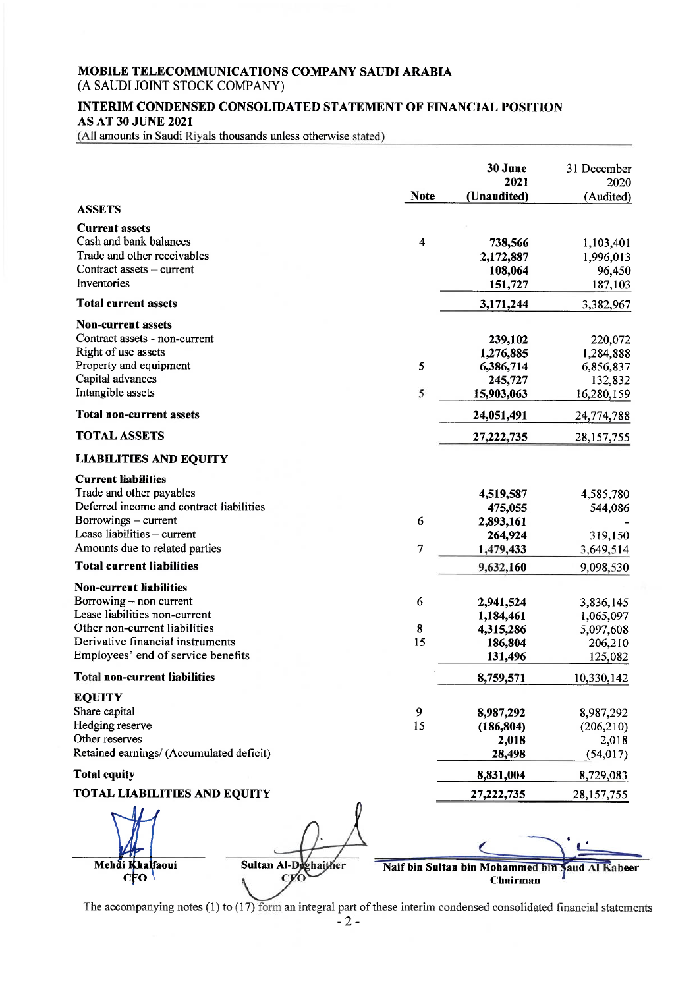# MOBILE TELECOMMUNICATIONS COMPANY SAUDI ARABIA

(A SAUDI JOINT STOCK COMPANY)

### INTERIM CONDENSED CONSOLIDATED STATEMENT OF FINANCIAL POSITION **AS AT 30 JUNE 2021**

(All amounts in Saudi Riyals thousands unless otherwise stated)

|                                                                                                                                                                                                       |                      | <b>Note</b>  | 30 June<br>2021<br>(Unaudited)                              | 31 December<br>2020                                        |
|-------------------------------------------------------------------------------------------------------------------------------------------------------------------------------------------------------|----------------------|--------------|-------------------------------------------------------------|------------------------------------------------------------|
| <b>ASSETS</b>                                                                                                                                                                                         |                      |              |                                                             | (Audited)                                                  |
| <b>Current assets</b><br>Cash and bank balances<br>Trade and other receivables<br>Contract assets $-$ current<br>Inventories                                                                          |                      | 4            | 738,566<br>2,172,887<br>108,064<br>151,727                  | 1,103,401<br>1,996,013<br>96,450<br>187,103                |
| <b>Total current assets</b>                                                                                                                                                                           |                      |              | 3,171,244                                                   | 3,382,967                                                  |
| <b>Non-current assets</b><br>Contract assets - non-current<br>Right of use assets<br>Property and equipment<br>Capital advances<br>Intangible assets                                                  |                      | 5<br>5       | 239,102<br>1,276,885<br>6,386,714<br>245,727<br>15,903,063  | 220,072<br>1,284,888<br>6,856,837<br>132,832<br>16,280,159 |
| <b>Total non-current assets</b>                                                                                                                                                                       |                      |              | 24,051,491                                                  | 24,774,788                                                 |
| <b>TOTAL ASSETS</b>                                                                                                                                                                                   |                      |              | 27,222,735                                                  | 28, 157, 755                                               |
| <b>LIABILITIES AND EQUITY</b>                                                                                                                                                                         |                      |              |                                                             |                                                            |
| <b>Current liabilities</b><br>Trade and other payables<br>Deferred income and contract liabilities<br>Borrowings – current<br>Lease liabilities $-$ current<br>Amounts due to related parties         |                      | 6<br>7       | 4,519,587<br>475,055<br>2,893,161<br>264,924<br>1,479,433   | 4,585,780<br>544,086<br>319,150<br>3,649,514               |
| <b>Total current liabilities</b>                                                                                                                                                                      |                      |              | 9,632,160                                                   | 9,098,530                                                  |
| <b>Non-current liabilities</b><br>Borrowing – non current<br>Lease liabilities non-current<br>Other non-current liabilities<br>Derivative financial instruments<br>Employees' end of service benefits |                      | 6<br>8<br>15 | 2,941,524<br>1,184,461<br>4,315,286<br>186,804<br>131,496   | 3,836,145<br>1,065,097<br>5,097,608<br>206,210<br>125,082  |
| <b>Total non-current liabilities</b>                                                                                                                                                                  |                      |              | 8,759,571                                                   | 10,330,142                                                 |
| <b>EQUITY</b><br>Share capital<br>Hedging reserve<br>Other reserves<br>Retained earnings/ (Accumulated deficit)                                                                                       |                      | 9<br>15      | 8,987,292<br>(186, 804)<br>2,018<br>28,498                  | 8,987,292<br>(206, 210)<br>2,018<br>(54, 017)              |
| <b>Total equity</b>                                                                                                                                                                                   |                      |              | 8,831,004                                                   | 8,729,083                                                  |
| <b>TOTAL LIABILITIES AND EQUITY</b>                                                                                                                                                                   |                      |              | 27, 222, 735                                                | 28, 157, 755                                               |
| Mehdi Khalfaoui                                                                                                                                                                                       |                      |              |                                                             |                                                            |
| $C_{\rm FO}$                                                                                                                                                                                          | Sultan Al-Dechaither |              | Naif bin Sultan bin Mohammed bin Saud Al Kabeer<br>Chairman |                                                            |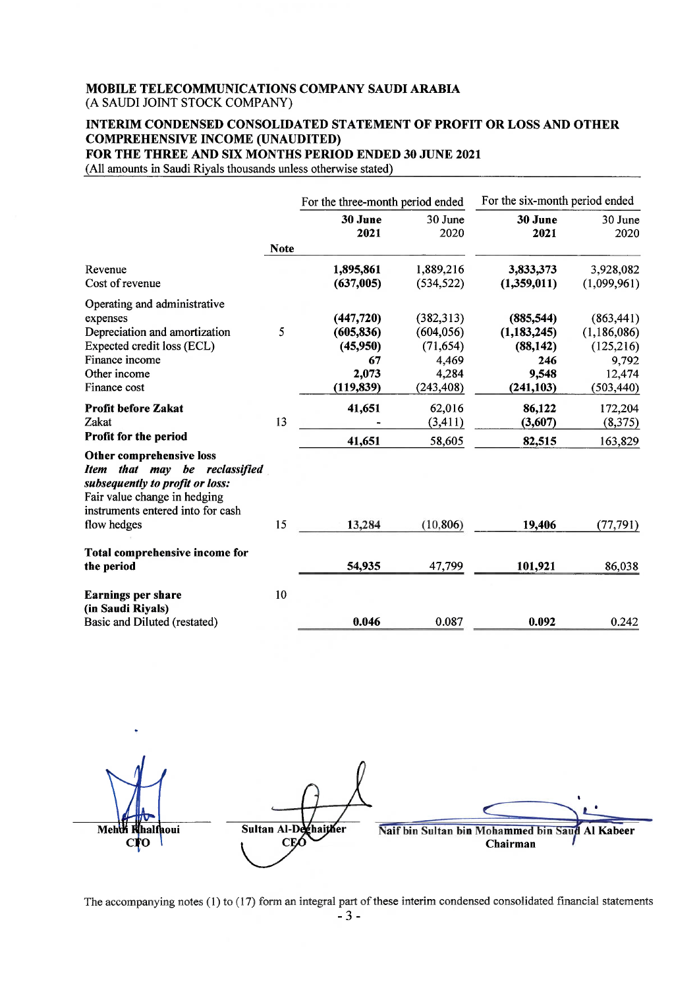## INTERIM CONDENSED CONSOLIDATED STATEMENT OF PROFIT OR LOSS AND OTHER **COMPREHENSIVE INCOME (UNAUDITED)**

FOR THE THREE AND SIX MONTHS PERIOD ENDED 30 JUNE 2021

(All amounts in Saudi Riyals thousands unless otherwise stated)

|                                                                                                                                                                                        | For the three-month period ended                                  |                                                                      | For the six-month period ended                                         |                                                                          |
|----------------------------------------------------------------------------------------------------------------------------------------------------------------------------------------|-------------------------------------------------------------------|----------------------------------------------------------------------|------------------------------------------------------------------------|--------------------------------------------------------------------------|
|                                                                                                                                                                                        | 30 June<br>2021                                                   | 30 June<br>2020                                                      | 30 June<br>2021                                                        | 30 June<br>2020                                                          |
| <b>Note</b>                                                                                                                                                                            |                                                                   |                                                                      |                                                                        |                                                                          |
| Revenue<br>Cost of revenue                                                                                                                                                             | 1,895,861<br>(637,005)                                            | 1,889,216<br>(534, 522)                                              | 3,833,373<br>(1,359,011)                                               | 3,928,082<br>(1,099,961)                                                 |
| Operating and administrative<br>expenses<br>5<br>Depreciation and amortization<br>Expected credit loss (ECL)<br>Finance income<br>Other income<br>Finance cost                         | (447, 720)<br>(605, 836)<br>(45,950)<br>67<br>2,073<br>(119, 839) | (382,313)<br>(604, 056)<br>(71, 654)<br>4,469<br>4,284<br>(243, 408) | (885, 544)<br>(1, 183, 245)<br>(88, 142)<br>246<br>9,548<br>(241, 103) | (863, 441)<br>(1,186,086)<br>(125, 216)<br>9,792<br>12,474<br>(503, 440) |
| <b>Profit before Zakat</b><br>13<br>Zakat<br>Profit for the period                                                                                                                     | 41,651<br>41,651                                                  | 62,016<br>(3, 411)<br>58,605                                         | 86,122<br>(3,607)<br>82,515                                            | 172,204<br>(8,375)<br>163,829                                            |
| Other comprehensive loss<br>Item that may be reclassified<br>subsequently to profit or loss:<br>Fair value change in hedging<br>instruments entered into for cash<br>15<br>flow hedges | 13,284                                                            | (10, 806)                                                            | 19,406                                                                 | (77, 791)                                                                |
|                                                                                                                                                                                        |                                                                   |                                                                      |                                                                        |                                                                          |
| Total comprehensive income for<br>the period                                                                                                                                           | 54,935                                                            | 47,799                                                               | 101,921                                                                | 86,038                                                                   |
| 10<br><b>Earnings per share</b><br>(in Saudi Riyals)<br>Basic and Diluted (restated)                                                                                                   | 0.046                                                             | 0.087                                                                | 0.092                                                                  | 0.242                                                                    |

Mehth Sultan Al-Deghaither Naif bin Sultan bin Mohammed bin Saud Al Kabeer halfhoui **CEO** Ó Chairman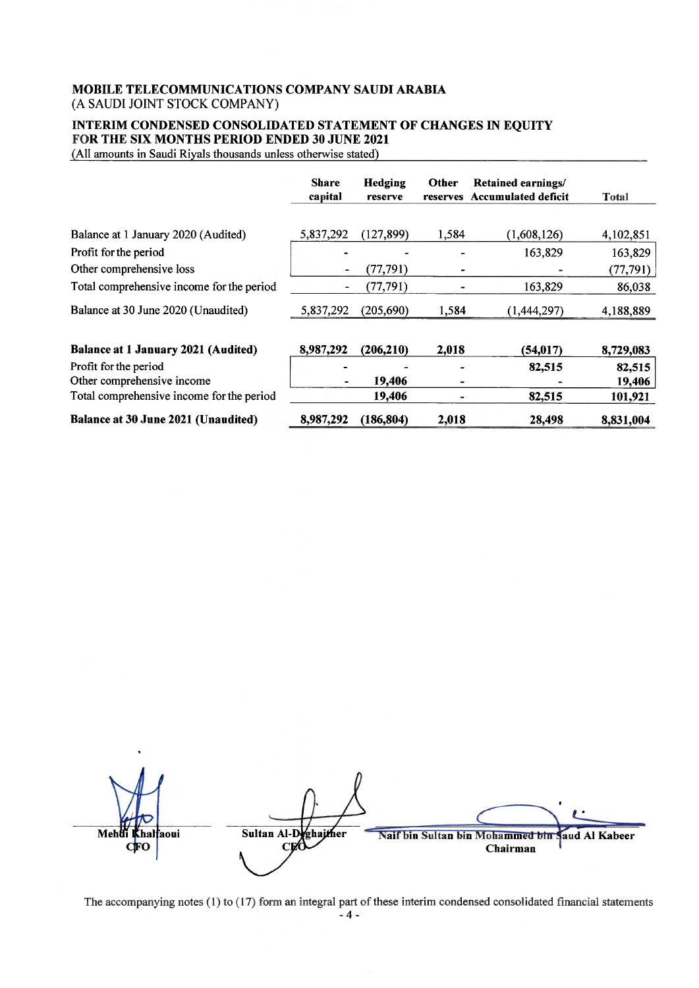### INTERIM CONDENSED CONSOLIDATED STATEMENT OF CHANGES IN EQUITY FOR THE SIX MONTHS PERIOD ENDED 30 JUNE 2021

(All amounts in Saudi Riyals thousands unless otherwise stated)

|                                            | <b>Share</b><br>capital | Hedging<br>reserve | Other<br>reserves | <b>Retained earnings/</b><br><b>Accumulated deficit</b> | Total     |
|--------------------------------------------|-------------------------|--------------------|-------------------|---------------------------------------------------------|-----------|
|                                            |                         |                    |                   |                                                         |           |
| Balance at 1 January 2020 (Audited)        | 5,837,292               | (127, 899)         | 1,584             | (1,608,126)                                             | 4,102,851 |
| Profit for the period                      |                         |                    |                   | 163,829                                                 | 163,829   |
| Other comprehensive loss                   |                         | (77, 791)          |                   |                                                         | (77, 791) |
| Total comprehensive income for the period  |                         | (77, 791)          |                   | 163,829                                                 | 86,038    |
| Balance at 30 June 2020 (Unaudited)        | 5,837,292               | (205,690)          | 1,584             | (1,444,297)                                             | 4,188,889 |
| <b>Balance at 1 January 2021 (Audited)</b> | 8,987,292               | (206, 210)         | 2,018             | (54, 017)                                               | 8,729,083 |
| Profit for the period                      |                         |                    |                   | 82,515                                                  | 82,515    |
| Other comprehensive income                 |                         | 19,406             |                   |                                                         | 19,406    |
| Total comprehensive income for the period  |                         | 19,406             |                   | 82,515                                                  | 101,921   |
| <b>Balance at 30 June 2021 (Unaudited)</b> | 8,987,292               | (186, 804)         | 2,018             | 28,498                                                  | 8,831,004 |

Sultan Al-Deghaither Mehd .<br>halfaoui Naif bin Sultan bin Mohammed bin aud Al Kabeer Ó Chairman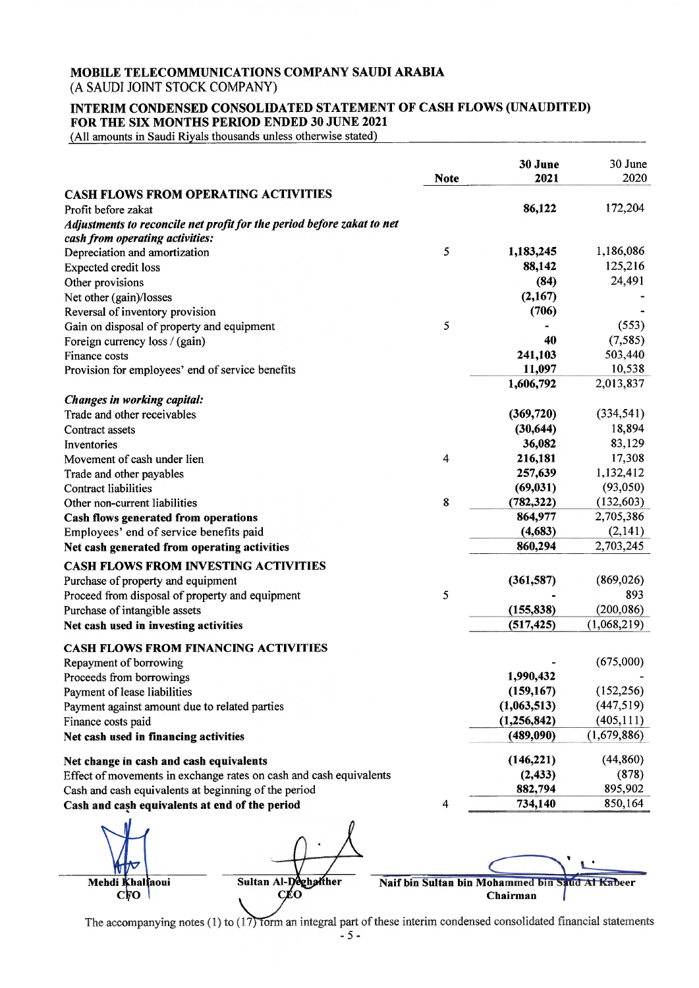## MOBILE TELECOMMUNICATIONS COMPANY SAUDI ARABIA

(A SAUDI JOINT STOCK COMPANY)

#### INTERIM CONDENSED CONSOLIDATED STATEMENT OF CASH FLOWS (UNAUDITED) FOR THE SIX MONTHS PERIOD ENDED 30 JUNE 2021

(All amounts in Saudi Riyals thousands unless otherwise stated)

|                                                                        | <b>Note</b> | 30 June<br>2021 | 30 June<br>2020 |
|------------------------------------------------------------------------|-------------|-----------------|-----------------|
| <b>CASH FLOWS FROM OPERATING ACTIVITIES</b>                            |             |                 |                 |
| Profit before zakat                                                    |             | 86,122          | 172,204         |
| Adjustments to reconcile net profit for the period before zakat to net |             |                 |                 |
| cash from operating activities:                                        |             |                 |                 |
| Depreciation and amortization                                          | 5           | 1,183,245       | 1,186,086       |
| <b>Expected credit loss</b>                                            |             | 88,142          | 125,216         |
| Other provisions                                                       |             | (84)            | 24,491          |
| Net other (gain)/losses                                                |             | (2,167)         |                 |
| Reversal of inventory provision                                        |             | (706)           |                 |
| Gain on disposal of property and equipment                             | 5           |                 | (553)           |
| Foreign currency loss / (gain)                                         |             | 40              | (7,585)         |
| Finance costs                                                          |             | 241,103         | 503,440         |
| Provision for employees' end of service benefits                       |             | 11,097          | 10,538          |
|                                                                        |             | 1,606,792       | 2,013,837       |
| Changes in working capital:                                            |             |                 |                 |
| Trade and other receivables                                            |             | (369, 720)      | (334, 541)      |
| Contract assets                                                        |             | (30, 644)       | 18,894          |
| Inventories                                                            |             | 36,082          | 83,129          |
| Movement of cash under lien                                            | 4           | 216,181         | 17,308          |
| Trade and other payables                                               |             | 257,639         | 1,132,412       |
| <b>Contract liabilities</b>                                            |             | (69, 031)       | (93,050)        |
| Other non-current liabilities                                          | 8           | (782, 322)      | (132, 603)      |
| Cash flows generated from operations                                   |             | 864,977         | 2,705,386       |
| Employees' end of service benefits paid                                |             | (4,683)         | (2,141)         |
| Net cash generated from operating activities                           |             | 860,294         | 2,703,245       |
| <b>CASH FLOWS FROM INVESTING ACTIVITIES</b>                            |             |                 |                 |
| Purchase of property and equipment                                     |             | (361, 587)      | (869, 026)      |
| Proceed from disposal of property and equipment                        | 5           |                 | 893             |
| Purchase of intangible assets                                          |             | (155, 838)      | (200, 086)      |
| Net cash used in investing activities                                  |             | (517, 425)      | (1,068,219)     |
|                                                                        |             |                 |                 |
| <b>CASH FLOWS FROM FINANCING ACTIVITIES</b>                            |             |                 |                 |
| Repayment of borrowing                                                 |             |                 | (675,000)       |
| Proceeds from borrowings                                               |             | 1,990,432       |                 |
| Payment of lease liabilities                                           |             | (159, 167)      | (152, 256)      |
| Payment against amount due to related parties                          |             | (1,063,513)     | (447, 519)      |
| Finance costs paid                                                     |             | (1,256,842)     | (405, 111)      |
| Net cash used in financing activities                                  |             | (489,090)       | (1,679,886)     |
| Net change in cash and cash equivalents                                |             | (146,221)       | (44, 860)       |
| Effect of movements in exchange rates on cash and cash equivalents     |             | (2, 433)        | (878)           |
| Cash and cash equivalents at beginning of the period                   |             | 882,794         | 895,902         |
| Cash and cash equivalents at end of the period                         | 4           | 734,140         | 850,164         |
|                                                                        |             |                 |                 |

Mehdi Khalfaoui  $\mathbf{c}\mathbf{\overline{p}}\mathbf{o}$ 

Sultan Al-Deghather CÉO

Naif bin Sultan bin Mohammed bin Saud Al Kabeer Chairman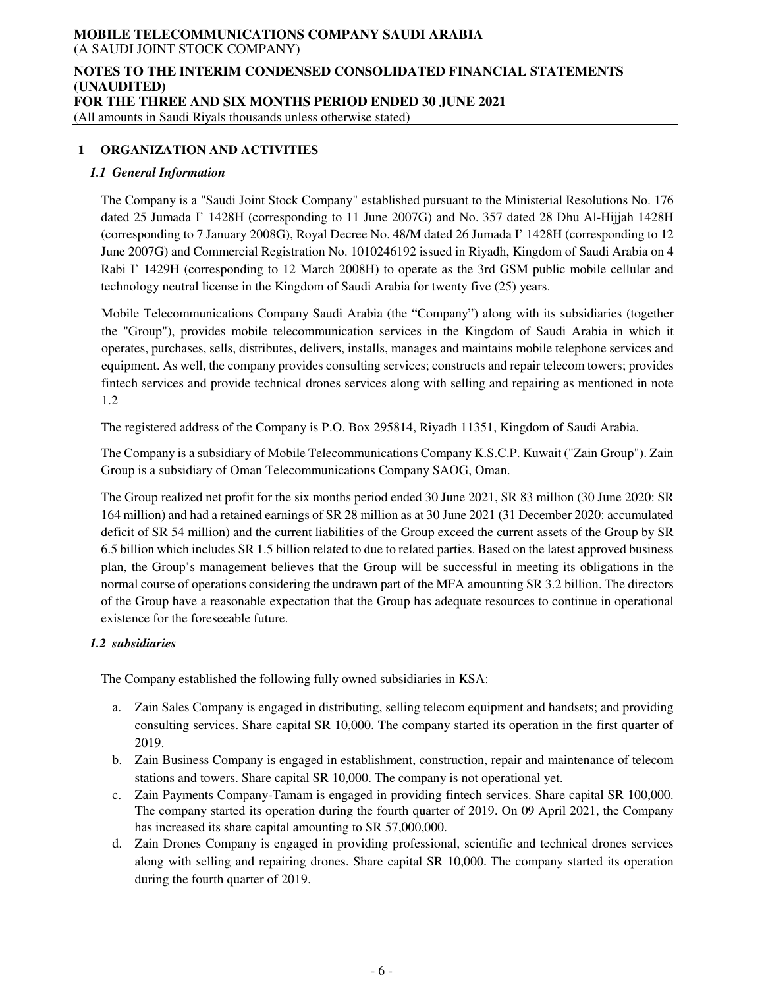## **NOTES TO THE INTERIM CONDENSED CONSOLIDATED FINANCIAL STATEMENTS (UNAUDITED) FOR THE THREE AND SIX MONTHS PERIOD ENDED 30 JUNE 2021**

(All amounts in Saudi Riyals thousands unless otherwise stated)

### **1 ORGANIZATION AND ACTIVITIES**

#### *1.1 General Information*

The Company is a "Saudi Joint Stock Company" established pursuant to the Ministerial Resolutions No. 176 dated 25 Jumada I' 1428H (corresponding to 11 June 2007G) and No. 357 dated 28 Dhu Al-Hijjah 1428H (corresponding to 7 January 2008G), Royal Decree No. 48/M dated 26 Jumada I' 1428H (corresponding to 12 June 2007G) and Commercial Registration No. 1010246192 issued in Riyadh, Kingdom of Saudi Arabia on 4 Rabi I' 1429H (corresponding to 12 March 2008H) to operate as the 3rd GSM public mobile cellular and technology neutral license in the Kingdom of Saudi Arabia for twenty five (25) years.

Mobile Telecommunications Company Saudi Arabia (the "Company") along with its subsidiaries (together the "Group"), provides mobile telecommunication services in the Kingdom of Saudi Arabia in which it operates, purchases, sells, distributes, delivers, installs, manages and maintains mobile telephone services and equipment. As well, the company provides consulting services; constructs and repair telecom towers; provides fintech services and provide technical drones services along with selling and repairing as mentioned in note 1.2

The registered address of the Company is P.O. Box 295814, Riyadh 11351, Kingdom of Saudi Arabia.

The Company is a subsidiary of Mobile Telecommunications Company K.S.C.P. Kuwait ("Zain Group"). Zain Group is a subsidiary of Oman Telecommunications Company SAOG, Oman.

The Group realized net profit for the six months period ended 30 June 2021, SR 83 million (30 June 2020: SR 164 million) and had a retained earnings of SR 28 million as at 30 June 2021 (31 December 2020: accumulated deficit of SR 54 million) and the current liabilities of the Group exceed the current assets of the Group by SR 6.5 billion which includes SR 1.5 billion related to due to related parties. Based on the latest approved business plan, the Group's management believes that the Group will be successful in meeting its obligations in the normal course of operations considering the undrawn part of the MFA amounting SR 3.2 billion. The directors of the Group have a reasonable expectation that the Group has adequate resources to continue in operational existence for the foreseeable future.

### *1.2 subsidiaries*

The Company established the following fully owned subsidiaries in KSA:

- a. Zain Sales Company is engaged in distributing, selling telecom equipment and handsets; and providing consulting services. Share capital SR 10,000. The company started its operation in the first quarter of 2019.
- b. Zain Business Company is engaged in establishment, construction, repair and maintenance of telecom stations and towers. Share capital SR 10,000. The company is not operational yet.
- c. Zain Payments Company-Tamam is engaged in providing fintech services. Share capital SR 100,000. The company started its operation during the fourth quarter of 2019. On 09 April 2021, the Company has increased its share capital amounting to SR 57,000,000.
- d. Zain Drones Company is engaged in providing professional, scientific and technical drones services along with selling and repairing drones. Share capital SR 10,000. The company started its operation during the fourth quarter of 2019.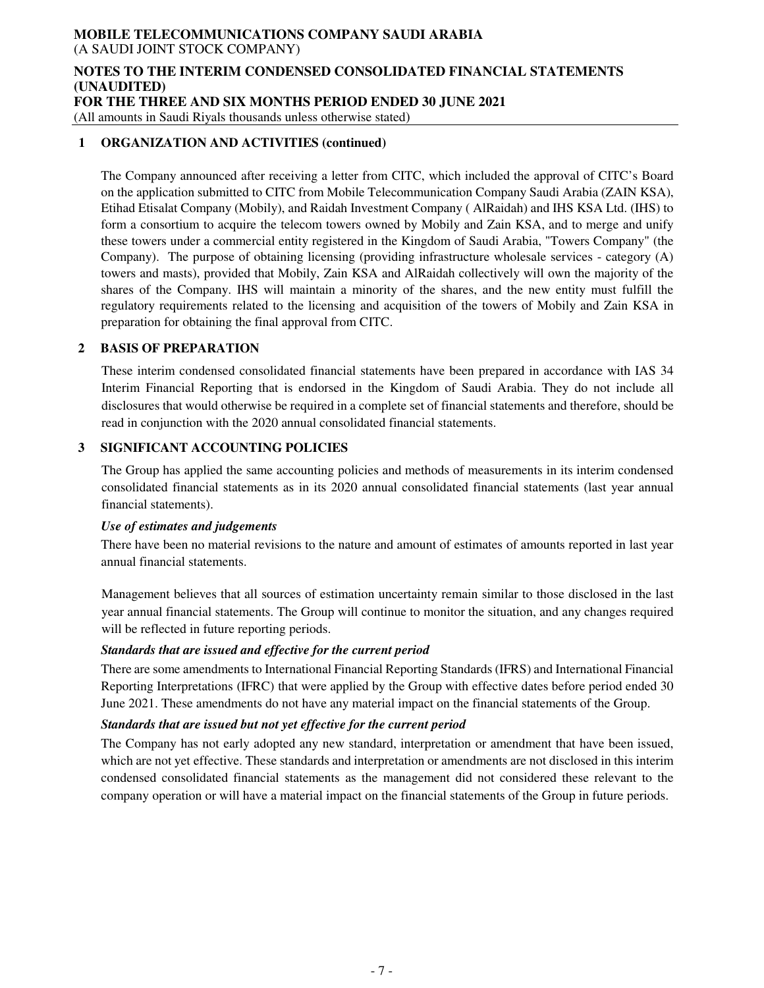#### **NOTES TO THE INTERIM CONDENSED CONSOLIDATED FINANCIAL STATEMENTS (UNAUDITED) FOR THE THREE AND SIX MONTHS PERIOD ENDED 30 JUNE 2021**

(All amounts in Saudi Riyals thousands unless otherwise stated)

#### **1 ORGANIZATION AND ACTIVITIES (continued)**

The Company announced after receiving a letter from CITC, which included the approval of CITC's Board on the application submitted to CITC from Mobile Telecommunication Company Saudi Arabia (ZAIN KSA), Etihad Etisalat Company (Mobily), and Raidah Investment Company ( AlRaidah) and IHS KSA Ltd. (IHS) to form a consortium to acquire the telecom towers owned by Mobily and Zain KSA, and to merge and unify these towers under a commercial entity registered in the Kingdom of Saudi Arabia, "Towers Company" (the Company). The purpose of obtaining licensing (providing infrastructure wholesale services - category (A) towers and masts), provided that Mobily, Zain KSA and AlRaidah collectively will own the majority of the shares of the Company. IHS will maintain a minority of the shares, and the new entity must fulfill the regulatory requirements related to the licensing and acquisition of the towers of Mobily and Zain KSA in preparation for obtaining the final approval from CITC.

### **2 BASIS OF PREPARATION**

These interim condensed consolidated financial statements have been prepared in accordance with IAS 34 Interim Financial Reporting that is endorsed in the Kingdom of Saudi Arabia. They do not include all disclosures that would otherwise be required in a complete set of financial statements and therefore, should be read in conjunction with the 2020 annual consolidated financial statements.

### **3 SIGNIFICANT ACCOUNTING POLICIES**

The Group has applied the same accounting policies and methods of measurements in its interim condensed consolidated financial statements as in its 2020 annual consolidated financial statements (last year annual financial statements).

#### *Use of estimates and judgements*

There have been no material revisions to the nature and amount of estimates of amounts reported in last year annual financial statements.

Management believes that all sources of estimation uncertainty remain similar to those disclosed in the last year annual financial statements. The Group will continue to monitor the situation, and any changes required will be reflected in future reporting periods.

### *Standards that are issued and effective for the current period*

There are some amendments to International Financial Reporting Standards (IFRS) and International Financial Reporting Interpretations (IFRC) that were applied by the Group with effective dates before period ended 30 June 2021. These amendments do not have any material impact on the financial statements of the Group.

### *Standards that are issued but not yet effective for the current period*

The Company has not early adopted any new standard, interpretation or amendment that have been issued, which are not yet effective. These standards and interpretation or amendments are not disclosed in this interim condensed consolidated financial statements as the management did not considered these relevant to the company operation or will have a material impact on the financial statements of the Group in future periods.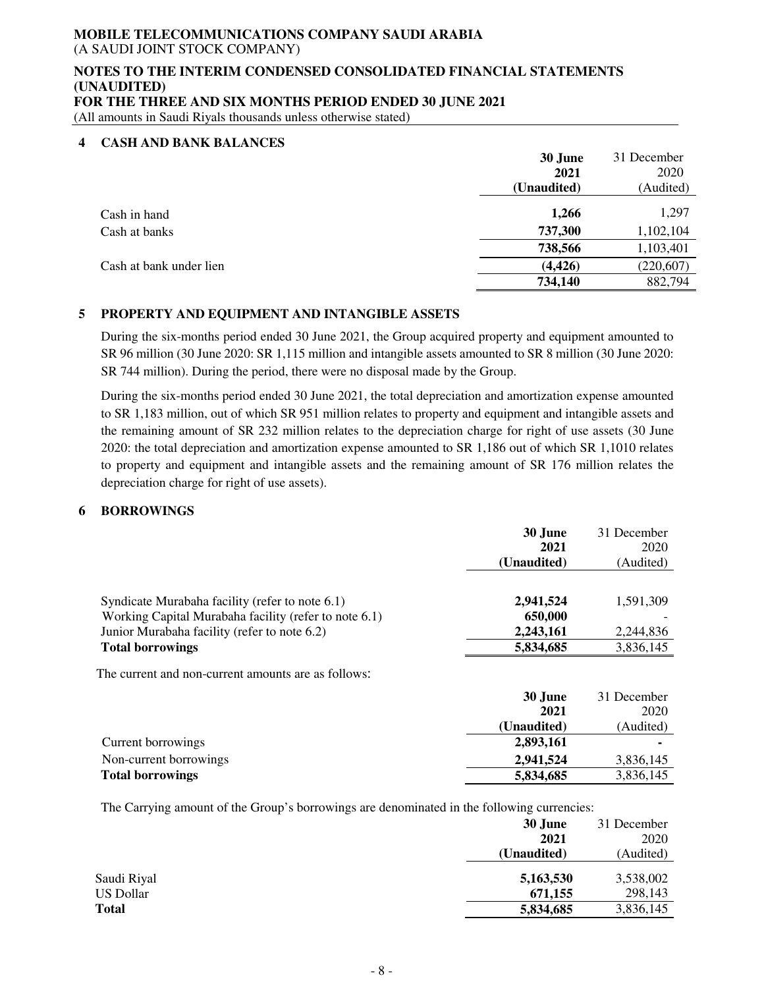#### **NOTES TO THE INTERIM CONDENSED CONSOLIDATED FINANCIAL STATEMENTS (UNAUDITED) FOR THE THREE AND SIX MONTHS PERIOD ENDED 30 JUNE 2021**

(All amounts in Saudi Riyals thousands unless otherwise stated)

#### **4 CASH AND BANK BALANCES**

|                         | 30 June<br>2021<br>(Unaudited) | 31 December<br>2020<br>(Audited) |
|-------------------------|--------------------------------|----------------------------------|
| Cash in hand            | 1,266                          | 1,297                            |
| Cash at banks           | 737,300                        | 1,102,104                        |
|                         | 738,566                        | 1,103,401                        |
| Cash at bank under lien | (4, 426)                       | (220, 607)                       |
|                         | 734,140                        | 882,794                          |

### **5 PROPERTY AND EQUIPMENT AND INTANGIBLE ASSETS**

During the six-months period ended 30 June 2021, the Group acquired property and equipment amounted to SR 96 million (30 June 2020: SR 1,115 million and intangible assets amounted to SR 8 million (30 June 2020: SR 744 million). During the period, there were no disposal made by the Group.

During the six-months period ended 30 June 2021, the total depreciation and amortization expense amounted to SR 1,183 million, out of which SR 951 million relates to property and equipment and intangible assets and the remaining amount of SR 232 million relates to the depreciation charge for right of use assets (30 June 2020: the total depreciation and amortization expense amounted to SR 1,186 out of which SR 1,1010 relates to property and equipment and intangible assets and the remaining amount of SR 176 million relates the depreciation charge for right of use assets).

### **6 BORROWINGS**

|                                                       | 30 June     | 31 December |
|-------------------------------------------------------|-------------|-------------|
|                                                       | 2021        | 2020        |
|                                                       | (Unaudited) | (Audited)   |
|                                                       |             |             |
| Syndicate Murabaha facility (refer to note 6.1)       | 2,941,524   | 1.591.309   |
| Working Capital Murabaha facility (refer to note 6.1) | 650,000     |             |
| Junior Murabaha facility (refer to note 6.2)          | 2,243,161   | 2.244.836   |
| <b>Total borrowings</b>                               | 5,834,685   | 3,836,145   |

The current and non-current amounts are as follows:

|                         | 30 June     | 31 December |
|-------------------------|-------------|-------------|
|                         | 2021        | 2020        |
|                         | (Unaudited) | (Audited)   |
| Current borrowings      | 2,893,161   |             |
| Non-current borrowings  | 2,941,524   | 3,836,145   |
| <b>Total borrowings</b> | 5,834,685   | 3,836,145   |

The Carrying amount of the Group's borrowings are denominated in the following currencies:

|             | 30 June     | 31 December |
|-------------|-------------|-------------|
|             | 2021        | 2020        |
|             | (Unaudited) | (Audited)   |
| Saudi Riyal | 5,163,530   | 3,538,002   |
| US Dollar   | 671,155     | 298,143     |
| Total       | 5,834,685   | 3,836,145   |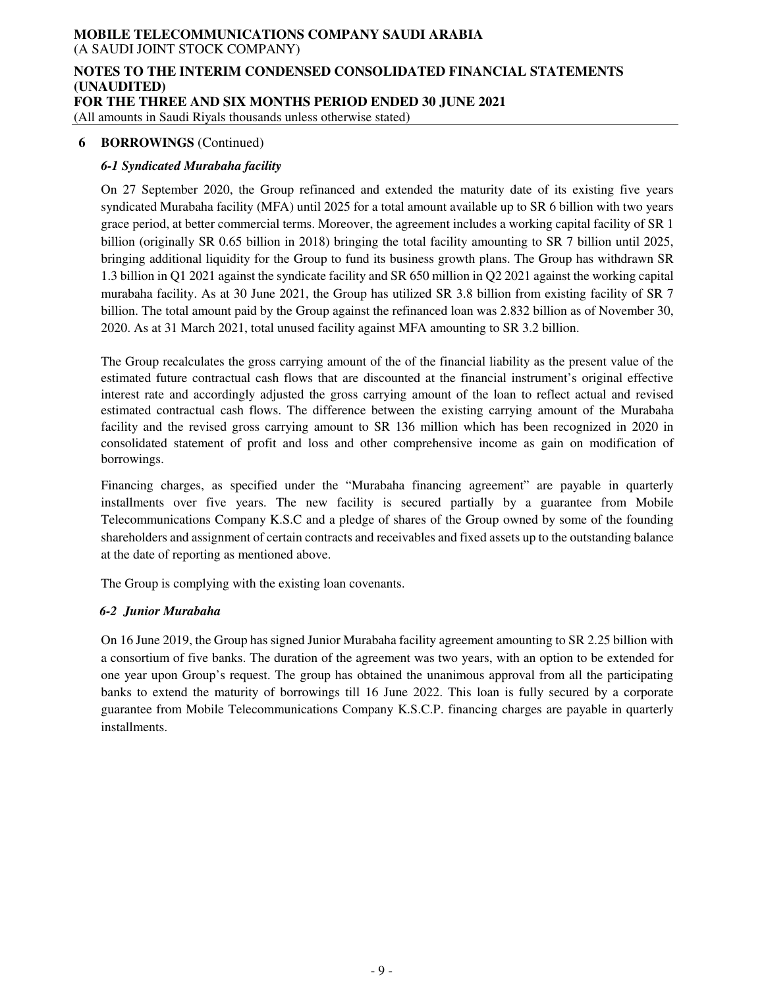#### **NOTES TO THE INTERIM CONDENSED CONSOLIDATED FINANCIAL STATEMENTS (UNAUDITED) FOR THE THREE AND SIX MONTHS PERIOD ENDED 30 JUNE 2021**

(All amounts in Saudi Riyals thousands unless otherwise stated)

### **6 BORROWINGS** (Continued)

### *6-1 Syndicated Murabaha facility*

On 27 September 2020, the Group refinanced and extended the maturity date of its existing five years syndicated Murabaha facility (MFA) until 2025 for a total amount available up to SR 6 billion with two years grace period, at better commercial terms. Moreover, the agreement includes a working capital facility of SR 1 billion (originally SR 0.65 billion in 2018) bringing the total facility amounting to SR 7 billion until 2025, bringing additional liquidity for the Group to fund its business growth plans. The Group has withdrawn SR 1.3 billion in Q1 2021 against the syndicate facility and SR 650 million in Q2 2021 against the working capital murabaha facility. As at 30 June 2021, the Group has utilized SR 3.8 billion from existing facility of SR 7 billion. The total amount paid by the Group against the refinanced loan was 2.832 billion as of November 30, 2020. As at 31 March 2021, total unused facility against MFA amounting to SR 3.2 billion.

The Group recalculates the gross carrying amount of the of the financial liability as the present value of the estimated future contractual cash flows that are discounted at the financial instrument's original effective interest rate and accordingly adjusted the gross carrying amount of the loan to reflect actual and revised estimated contractual cash flows. The difference between the existing carrying amount of the Murabaha facility and the revised gross carrying amount to SR 136 million which has been recognized in 2020 in consolidated statement of profit and loss and other comprehensive income as gain on modification of borrowings.

Financing charges, as specified under the "Murabaha financing agreement" are payable in quarterly installments over five years. The new facility is secured partially by a guarantee from Mobile Telecommunications Company K.S.C and a pledge of shares of the Group owned by some of the founding shareholders and assignment of certain contracts and receivables and fixed assets up to the outstanding balance at the date of reporting as mentioned above.

The Group is complying with the existing loan covenants.

### *6-2 Junior Murabaha*

On 16 June 2019, the Group has signed Junior Murabaha facility agreement amounting to SR 2.25 billion with a consortium of five banks. The duration of the agreement was two years, with an option to be extended for one year upon Group's request. The group has obtained the unanimous approval from all the participating banks to extend the maturity of borrowings till 16 June 2022. This loan is fully secured by a corporate guarantee from Mobile Telecommunications Company K.S.C.P. financing charges are payable in quarterly installments.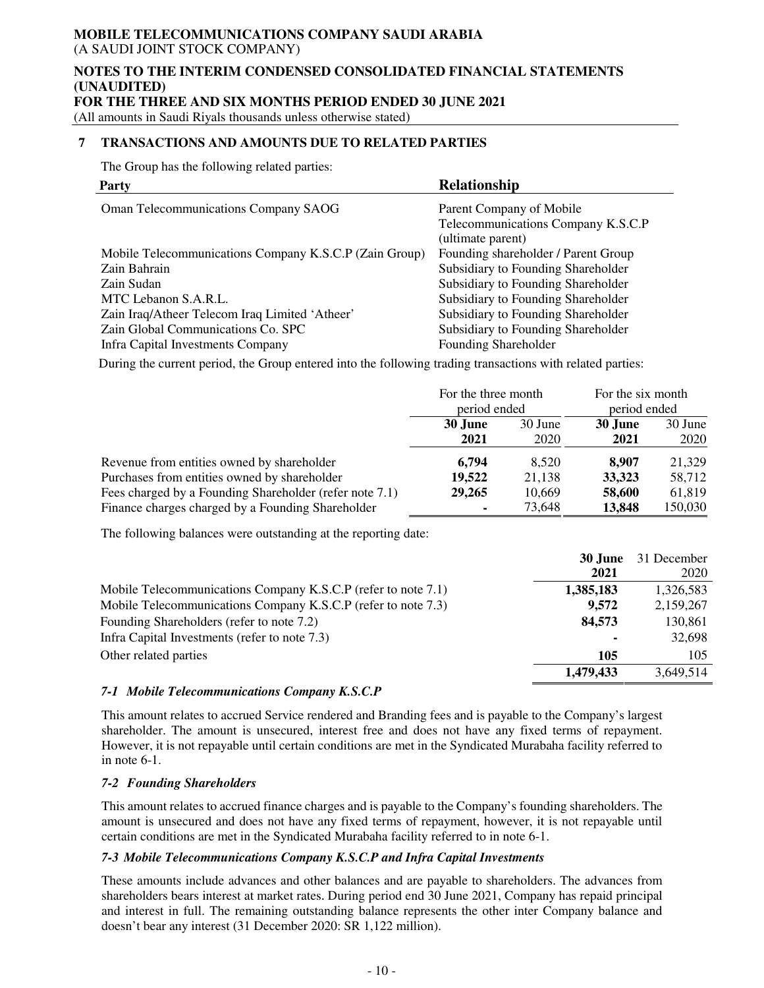#### **NOTES TO THE INTERIM CONDENSED CONSOLIDATED FINANCIAL STATEMENTS (UNAUDITED) FOR THE THREE AND SIX MONTHS PERIOD ENDED 30 JUNE 2021**

(All amounts in Saudi Riyals thousands unless otherwise stated)

### **7 TRANSACTIONS AND AMOUNTS DUE TO RELATED PARTIES**

The Group has the following related parties:

| <b>Party</b>                                           | <b>Relationship</b>                 |
|--------------------------------------------------------|-------------------------------------|
| Oman Telecommunications Company SAOG                   | Parent Company of Mobile            |
|                                                        | Telecommunications Company K.S.C.P  |
|                                                        | (ultimate parent)                   |
| Mobile Telecommunications Company K.S.C.P (Zain Group) | Founding shareholder / Parent Group |
| Zain Bahrain                                           | Subsidiary to Founding Shareholder  |
| Zain Sudan                                             | Subsidiary to Founding Shareholder  |
| MTC Lebanon S.A.R.L.                                   | Subsidiary to Founding Shareholder  |
| Zain Iraq/Atheer Telecom Iraq Limited 'Atheer'         | Subsidiary to Founding Shareholder  |
| Zain Global Communications Co. SPC                     | Subsidiary to Founding Shareholder  |
| Infra Capital Investments Company                      | Founding Shareholder                |

During the current period, the Group entered into the following trading transactions with related parties:

|                                                         | For the three month<br>period ended |                 | For the six month<br>period ended |                 |
|---------------------------------------------------------|-------------------------------------|-----------------|-----------------------------------|-----------------|
|                                                         | 30 June<br>2021                     | 30 June<br>2020 | 30 June<br>2021                   | 30 June<br>2020 |
| Revenue from entities owned by shareholder              | 6.794                               | 8.520           | 8.907                             | 21,329          |
| Purchases from entities owned by shareholder            | 19,522                              | 21,138          | 33,323                            | 58,712          |
| Fees charged by a Founding Shareholder (refer note 7.1) | 29,265                              | 10,669          | 58,600                            | 61,819          |
| Finance charges charged by a Founding Shareholder       |                                     | 73,648          | 13,848                            | 150,030         |

The following balances were outstanding at the reporting date:

|                                                               | 30 June        | 31 December |
|---------------------------------------------------------------|----------------|-------------|
|                                                               | 2021           | 2020        |
| Mobile Telecommunications Company K.S.C.P (refer to note 7.1) | 1,385,183      | 1,326,583   |
| Mobile Telecommunications Company K.S.C.P (refer to note 7.3) | 9,572          | 2,159,267   |
| Founding Shareholders (refer to note 7.2)                     | 84,573         | 130,861     |
| Infra Capital Investments (refer to note 7.3)                 | $\blacksquare$ | 32,698      |
| Other related parties                                         | 105            | 105         |
|                                                               | 1,479,433      | 3,649,514   |

#### *7-1 Mobile Telecommunications Company K.S.C.P*

This amount relates to accrued Service rendered and Branding fees and is payable to the Company's largest shareholder. The amount is unsecured, interest free and does not have any fixed terms of repayment. However, it is not repayable until certain conditions are met in the Syndicated Murabaha facility referred to in note 6-1.

### *7-2 Founding Shareholders*

This amount relates to accrued finance charges and is payable to the Company's founding shareholders. The amount is unsecured and does not have any fixed terms of repayment, however, it is not repayable until certain conditions are met in the Syndicated Murabaha facility referred to in note 6-1.

#### *7-3 Mobile Telecommunications Company K.S.C.P and Infra Capital Investments*

These amounts include advances and other balances and are payable to shareholders. The advances from shareholders bears interest at market rates. During period end 30 June 2021, Company has repaid principal and interest in full. The remaining outstanding balance represents the other inter Company balance and doesn't bear any interest (31 December 2020: SR 1,122 million).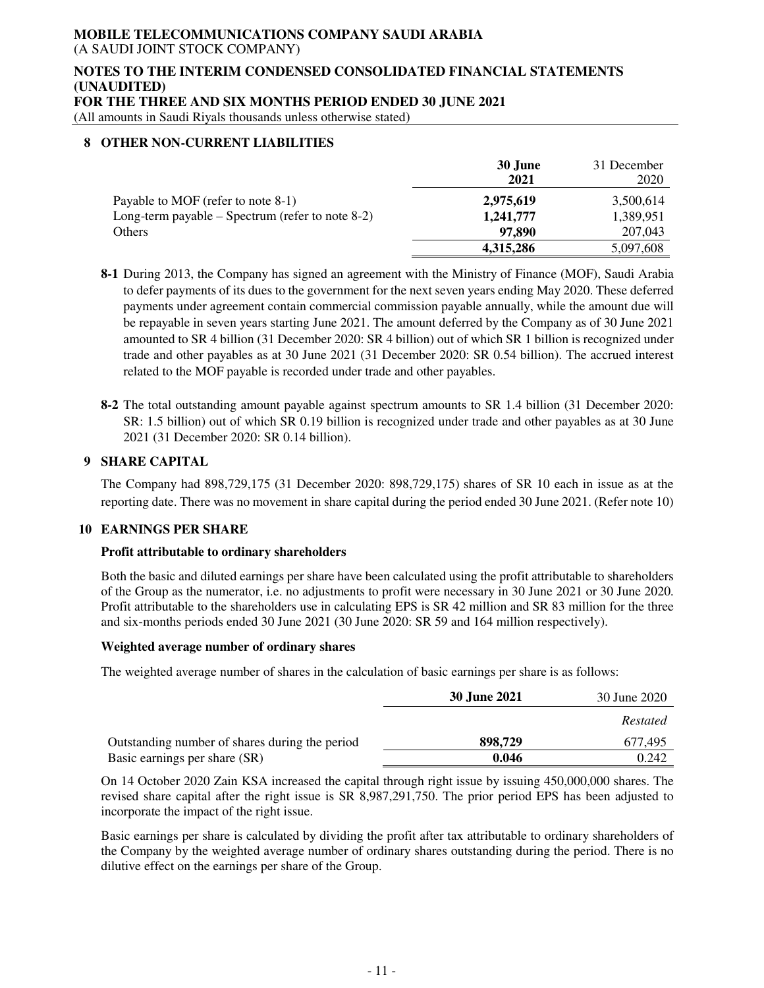#### **NOTES TO THE INTERIM CONDENSED CONSOLIDATED FINANCIAL STATEMENTS (UNAUDITED) FOR THE THREE AND SIX MONTHS PERIOD ENDED 30 JUNE 2021**

(All amounts in Saudi Riyals thousands unless otherwise stated)

#### **8 OTHER NON-CURRENT LIABILITIES**

|                                                    | 30 June<br>2021 | 31 December<br>2020 |
|----------------------------------------------------|-----------------|---------------------|
| Payable to MOF (refer to note 8-1)                 | 2,975,619       | 3,500,614           |
| Long-term payable $-$ Spectrum (refer to note 8-2) | 1,241,777       | 1,389,951           |
| Others                                             | 97.890          | 207,043             |
|                                                    | 4,315,286       | 5,097,608           |

**8-1** During 2013, the Company has signed an agreement with the Ministry of Finance (MOF), Saudi Arabia to defer payments of its dues to the government for the next seven years ending May 2020. These deferred payments under agreement contain commercial commission payable annually, while the amount due will be repayable in seven years starting June 2021. The amount deferred by the Company as of 30 June 2021 amounted to SR 4 billion (31 December 2020: SR 4 billion) out of which SR 1 billion is recognized under trade and other payables as at 30 June 2021 (31 December 2020: SR 0.54 billion). The accrued interest related to the MOF payable is recorded under trade and other payables.

**8-2** The total outstanding amount payable against spectrum amounts to SR 1.4 billion (31 December 2020: SR: 1.5 billion) out of which SR 0.19 billion is recognized under trade and other payables as at 30 June 2021 (31 December 2020: SR 0.14 billion).

### **9 SHARE CAPITAL**

The Company had 898,729,175 (31 December 2020: 898,729,175) shares of SR 10 each in issue as at the reporting date. There was no movement in share capital during the period ended 30 June 2021. (Refer note 10)

### **10 EARNINGS PER SHARE**

#### **Profit attributable to ordinary shareholders**

Both the basic and diluted earnings per share have been calculated using the profit attributable to shareholders of the Group as the numerator, i.e. no adjustments to profit were necessary in 30 June 2021 or 30 June 2020. Profit attributable to the shareholders use in calculating EPS is SR 42 million and SR 83 million for the three and six-months periods ended 30 June 2021 (30 June 2020: SR 59 and 164 million respectively).

#### **Weighted average number of ordinary shares**

The weighted average number of shares in the calculation of basic earnings per share is as follows:

|                                                | 30 June 2021 | 30 June 2020 |
|------------------------------------------------|--------------|--------------|
|                                                |              | Restated     |
| Outstanding number of shares during the period | 898,729      | 677.495      |
| Basic earnings per share (SR)                  | 0.046        | 0.242        |

On 14 October 2020 Zain KSA increased the capital through right issue by issuing 450,000,000 shares. The revised share capital after the right issue is SR 8,987,291,750. The prior period EPS has been adjusted to incorporate the impact of the right issue.

Basic earnings per share is calculated by dividing the profit after tax attributable to ordinary shareholders of the Company by the weighted average number of ordinary shares outstanding during the period. There is no dilutive effect on the earnings per share of the Group.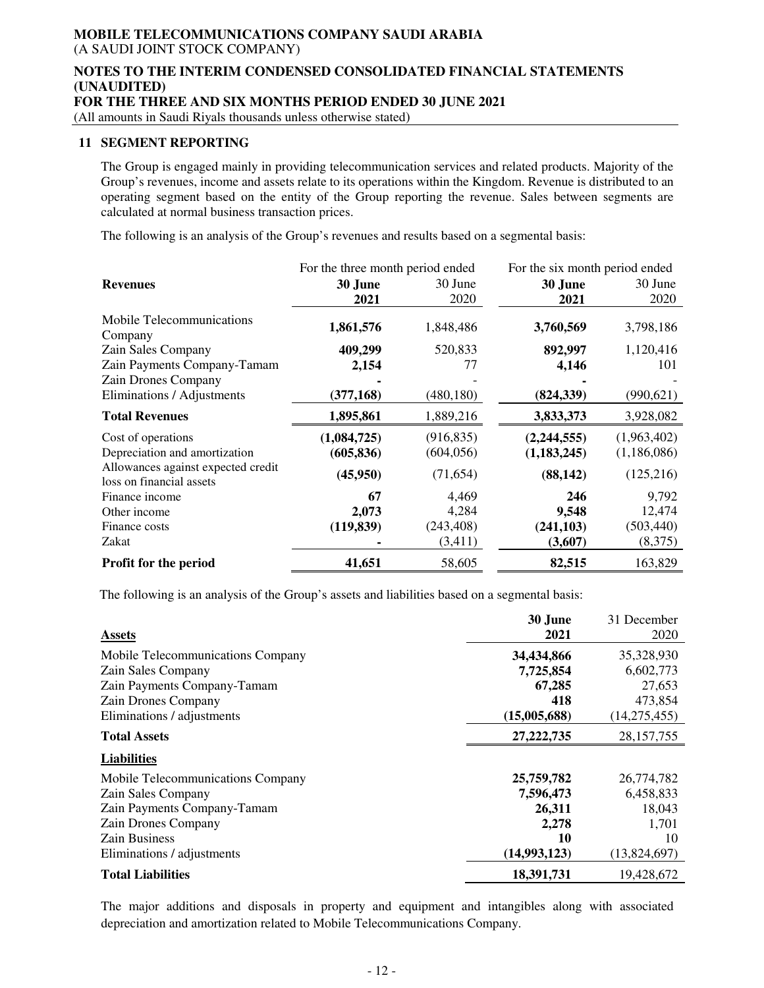#### **NOTES TO THE INTERIM CONDENSED CONSOLIDATED FINANCIAL STATEMENTS (UNAUDITED) FOR THE THREE AND SIX MONTHS PERIOD ENDED 30 JUNE 2021**

(All amounts in Saudi Riyals thousands unless otherwise stated)

#### **11 SEGMENT REPORTING**

The Group is engaged mainly in providing telecommunication services and related products. Majority of the Group's revenues, income and assets relate to its operations within the Kingdom. Revenue is distributed to an operating segment based on the entity of the Group reporting the revenue. Sales between segments are calculated at normal business transaction prices.

The following is an analysis of the Group's revenues and results based on a segmental basis:

|                                                                | For the three month period ended |            | For the six month period ended |             |  |
|----------------------------------------------------------------|----------------------------------|------------|--------------------------------|-------------|--|
| <b>Revenues</b>                                                | 30 June                          | 30 June    | 30 June                        | 30 June     |  |
|                                                                | 2021                             | 2020       | 2021                           | 2020        |  |
| Mobile Telecommunications<br>Company                           | 1,861,576                        | 1,848,486  | 3,760,569                      | 3,798,186   |  |
| Zain Sales Company                                             | 409,299                          | 520,833    | 892,997                        | 1,120,416   |  |
| Zain Payments Company-Tamam                                    | 2,154                            | 77         | 4,146                          | 101         |  |
| Zain Drones Company                                            |                                  |            |                                |             |  |
| Eliminations / Adjustments                                     | (377, 168)                       | (480, 180) | (824, 339)                     | (990, 621)  |  |
| <b>Total Revenues</b>                                          | 1,895,861                        | 1,889,216  | 3,833,373                      | 3,928,082   |  |
| Cost of operations                                             | (1,084,725)                      | (916, 835) | (2,244,555)                    | (1,963,402) |  |
| Depreciation and amortization                                  | (605, 836)                       | (604, 056) | (1, 183, 245)                  | (1,186,086) |  |
| Allowances against expected credit<br>loss on financial assets | (45,950)                         | (71, 654)  | (88, 142)                      | (125, 216)  |  |
| Finance income                                                 | 67                               | 4,469      | 246                            | 9,792       |  |
| Other income                                                   | 2,073                            | 4,284      | 9,548                          | 12,474      |  |
| Finance costs                                                  | (119, 839)                       | (243, 408) | (241, 103)                     | (503, 440)  |  |
| Zakat                                                          |                                  | (3,411)    | (3,607)                        | (8,375)     |  |
| Profit for the period                                          | 41,651                           | 58,605     | 82,515                         | 163,829     |  |

The following is an analysis of the Group's assets and liabilities based on a segmental basis:

| <b>Assets</b>                     | 30 June<br>2021 | 31 December<br>2020 |
|-----------------------------------|-----------------|---------------------|
| Mobile Telecommunications Company | 34,434,866      | 35,328,930          |
| Zain Sales Company                | 7,725,854       | 6,602,773           |
| Zain Payments Company-Tamam       | 67,285          | 27,653              |
| Zain Drones Company               | 418             | 473,854             |
| Eliminations / adjustments        | (15,005,688)    | (14, 275, 455)      |
| <b>Total Assets</b>               | 27, 222, 735    | 28, 157, 755        |
| <b>Liabilities</b>                |                 |                     |
| Mobile Telecommunications Company | 25,759,782      | 26,774,782          |
| Zain Sales Company                | 7,596,473       | 6,458,833           |
| Zain Payments Company-Tamam       | 26,311          | 18,043              |
| Zain Drones Company               | 2,278           | 1,701               |
| <b>Zain Business</b>              | 10              | 10                  |
| Eliminations / adjustments        | (14,993,123)    | (13,824,697)        |
| <b>Total Liabilities</b>          | 18,391,731      | 19,428,672          |

The major additions and disposals in property and equipment and intangibles along with associated depreciation and amortization related to Mobile Telecommunications Company.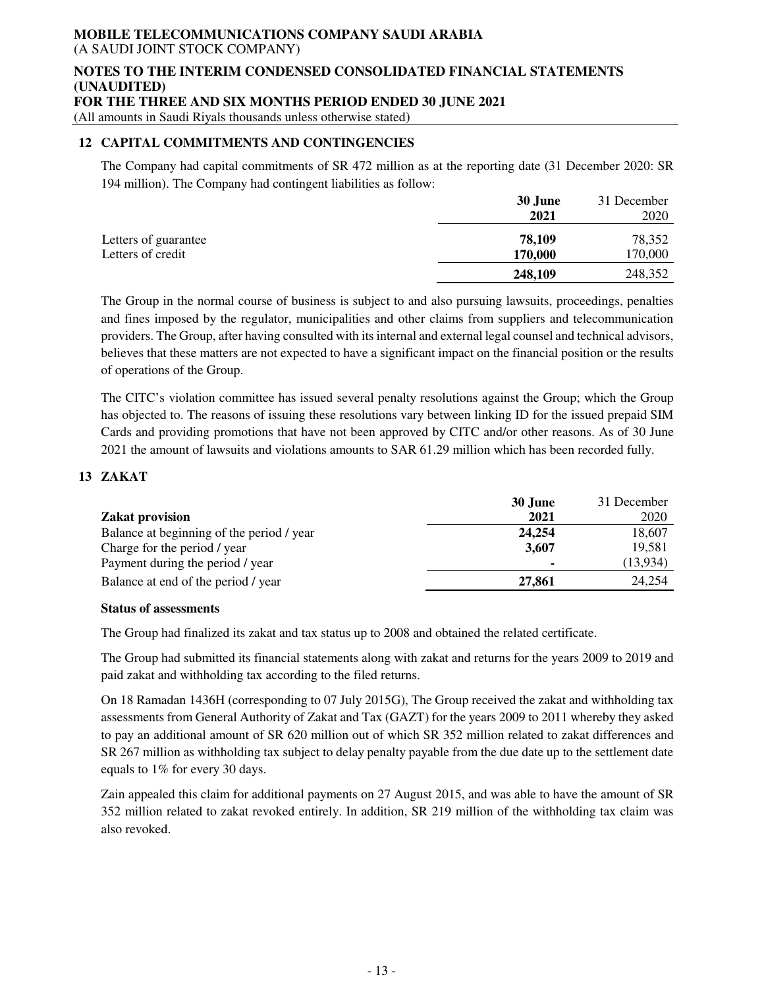#### **NOTES TO THE INTERIM CONDENSED CONSOLIDATED FINANCIAL STATEMENTS (UNAUDITED) FOR THE THREE AND SIX MONTHS PERIOD ENDED 30 JUNE 2021**

(All amounts in Saudi Riyals thousands unless otherwise stated)

### **12 CAPITAL COMMITMENTS AND CONTINGENCIES**

The Company had capital commitments of SR 472 million as at the reporting date (31 December 2020: SR 194 million). The Company had contingent liabilities as follow:

|                      | 30 June | 31 December |
|----------------------|---------|-------------|
|                      | 2021    | 2020        |
| Letters of guarantee | 78,109  | 78,352      |
| Letters of credit    | 170,000 | 170,000     |
|                      | 248,109 | 248,352     |

The Group in the normal course of business is subject to and also pursuing lawsuits, proceedings, penalties and fines imposed by the regulator, municipalities and other claims from suppliers and telecommunication providers. The Group, after having consulted with its internal and external legal counsel and technical advisors, believes that these matters are not expected to have a significant impact on the financial position or the results of operations of the Group.

The CITC's violation committee has issued several penalty resolutions against the Group; which the Group has objected to. The reasons of issuing these resolutions vary between linking ID for the issued prepaid SIM Cards and providing promotions that have not been approved by CITC and/or other reasons. As of 30 June 2021 the amount of lawsuits and violations amounts to SAR 61.29 million which has been recorded fully.

### **13 ZAKAT**

|                                           | 30 June        | 31 December |
|-------------------------------------------|----------------|-------------|
| <b>Zakat provision</b>                    | 2021           | 2020        |
| Balance at beginning of the period / year | 24,254         | 18,607      |
| Charge for the period / year              | 3.607          | 19,581      |
| Payment during the period / year          | $\blacksquare$ | (13,934)    |
| Balance at end of the period / year       | 27,861         | 24.254      |

#### **Status of assessments**

The Group had finalized its zakat and tax status up to 2008 and obtained the related certificate.

The Group had submitted its financial statements along with zakat and returns for the years 2009 to 2019 and paid zakat and withholding tax according to the filed returns.

On 18 Ramadan 1436H (corresponding to 07 July 2015G), The Group received the zakat and withholding tax assessments from General Authority of Zakat and Tax (GAZT) for the years 2009 to 2011 whereby they asked to pay an additional amount of SR 620 million out of which SR 352 million related to zakat differences and SR 267 million as withholding tax subject to delay penalty payable from the due date up to the settlement date equals to 1% for every 30 days.

Zain appealed this claim for additional payments on 27 August 2015, and was able to have the amount of SR 352 million related to zakat revoked entirely. In addition, SR 219 million of the withholding tax claim was also revoked.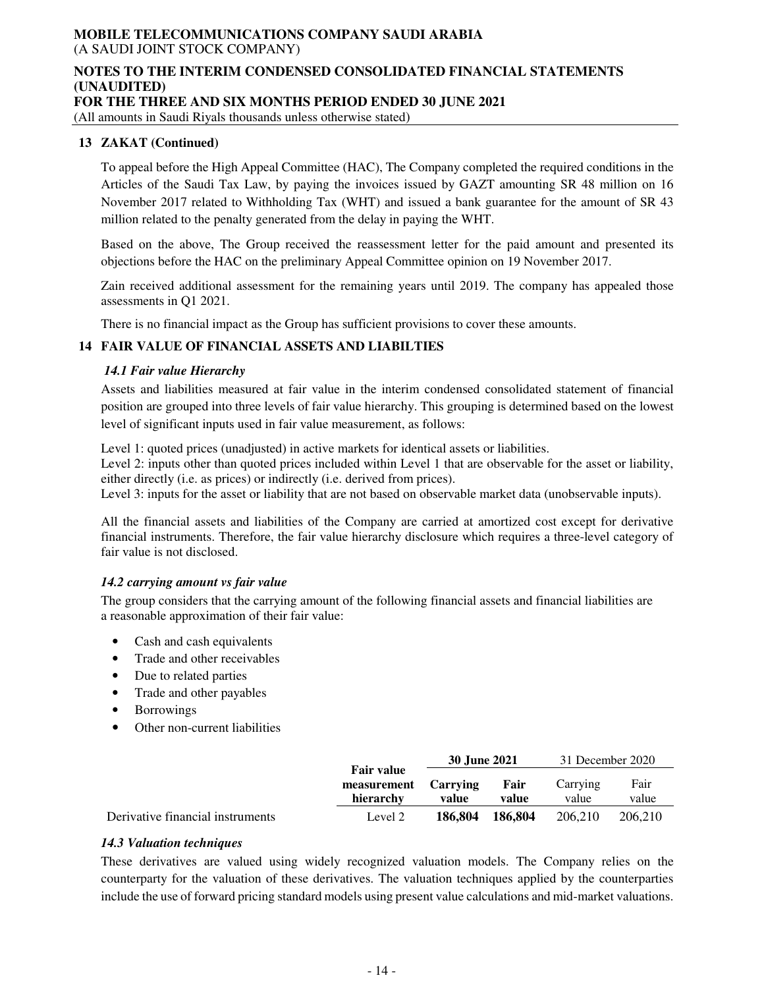## **NOTES TO THE INTERIM CONDENSED CONSOLIDATED FINANCIAL STATEMENTS (UNAUDITED)**

**FOR THE THREE AND SIX MONTHS PERIOD ENDED 30 JUNE 2021** 

(All amounts in Saudi Riyals thousands unless otherwise stated)

#### **13 ZAKAT (Continued)**

To appeal before the High Appeal Committee (HAC), The Company completed the required conditions in the Articles of the Saudi Tax Law, by paying the invoices issued by GAZT amounting SR 48 million on 16 November 2017 related to Withholding Tax (WHT) and issued a bank guarantee for the amount of SR 43 million related to the penalty generated from the delay in paying the WHT.

Based on the above, The Group received the reassessment letter for the paid amount and presented its objections before the HAC on the preliminary Appeal Committee opinion on 19 November 2017.

Zain received additional assessment for the remaining years until 2019. The company has appealed those assessments in Q1 2021.

There is no financial impact as the Group has sufficient provisions to cover these amounts.

### **14 FAIR VALUE OF FINANCIAL ASSETS AND LIABILTIES**

#### *14.1 Fair value Hierarchy*

Assets and liabilities measured at fair value in the interim condensed consolidated statement of financial position are grouped into three levels of fair value hierarchy. This grouping is determined based on the lowest level of significant inputs used in fair value measurement, as follows:

Level 1: quoted prices (unadjusted) in active markets for identical assets or liabilities. Level 2: inputs other than quoted prices included within Level 1 that are observable for the asset or liability,

either directly (i.e. as prices) or indirectly (i.e. derived from prices).

Level 3: inputs for the asset or liability that are not based on observable market data (unobservable inputs).

All the financial assets and liabilities of the Company are carried at amortized cost except for derivative financial instruments. Therefore, the fair value hierarchy disclosure which requires a three-level category of fair value is not disclosed.

#### *14.2 carrying amount vs fair value*

The group considers that the carrying amount of the following financial assets and financial liabilities are a reasonable approximation of their fair value:

- Cash and cash equivalents
- Trade and other receivables
- Due to related parties
- Trade and other payables
- Borrowings
- Other non-current liabilities

|                                  |                                               | 30 June 2021      |               | 31 December 2020  |               |
|----------------------------------|-----------------------------------------------|-------------------|---------------|-------------------|---------------|
|                                  | <b>Fair value</b><br>measurement<br>hierarchy | Carrying<br>value | Fair<br>value | Carrying<br>value | Fair<br>value |
| Derivative financial instruments | Level 2                                       | 186.804           | 186.804       | 206,210           | 206.210       |

#### *14.3 Valuation techniques*

These derivatives are valued using widely recognized valuation models. The Company relies on the counterparty for the valuation of these derivatives. The valuation techniques applied by the counterparties include the use of forward pricing standard models using present value calculations and mid-market valuations.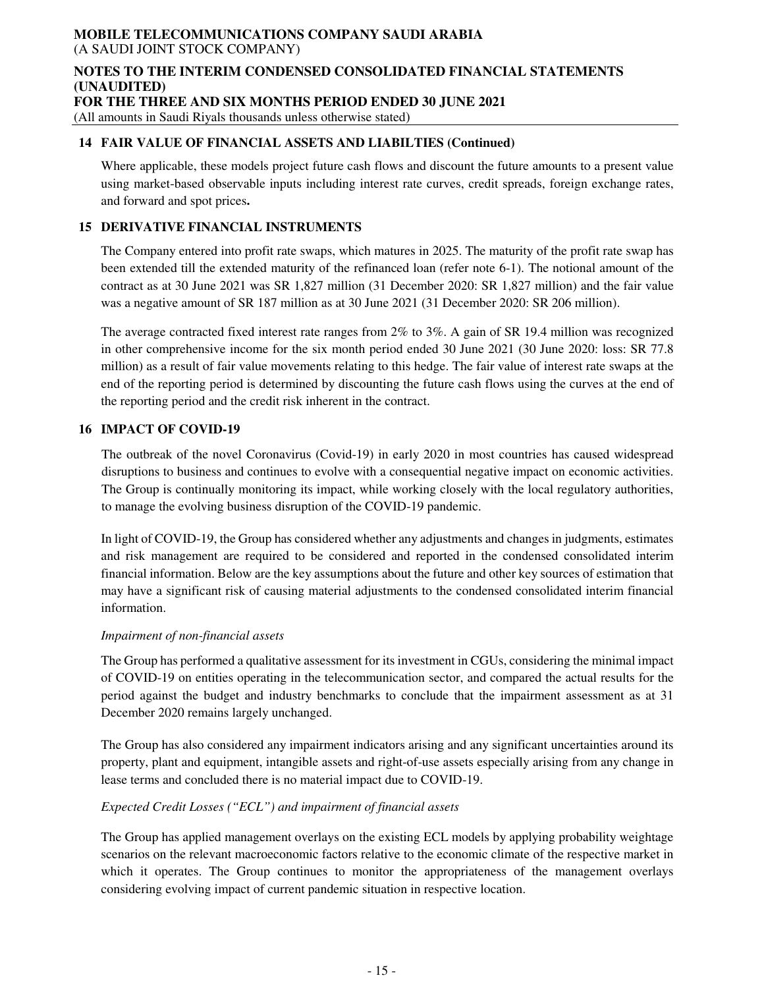#### **NOTES TO THE INTERIM CONDENSED CONSOLIDATED FINANCIAL STATEMENTS (UNAUDITED) FOR THE THREE AND SIX MONTHS PERIOD ENDED 30 JUNE 2021**

(All amounts in Saudi Riyals thousands unless otherwise stated)

#### **14 FAIR VALUE OF FINANCIAL ASSETS AND LIABILTIES (Continued)**

Where applicable, these models project future cash flows and discount the future amounts to a present value using market-based observable inputs including interest rate curves, credit spreads, foreign exchange rates, and forward and spot prices**.** 

### **15 DERIVATIVE FINANCIAL INSTRUMENTS**

The Company entered into profit rate swaps, which matures in 2025. The maturity of the profit rate swap has been extended till the extended maturity of the refinanced loan (refer note 6-1). The notional amount of the contract as at 30 June 2021 was SR 1,827 million (31 December 2020: SR 1,827 million) and the fair value was a negative amount of SR 187 million as at 30 June 2021 (31 December 2020: SR 206 million).

The average contracted fixed interest rate ranges from 2% to 3%. A gain of SR 19.4 million was recognized in other comprehensive income for the six month period ended 30 June 2021 (30 June 2020: loss: SR 77.8 million) as a result of fair value movements relating to this hedge. The fair value of interest rate swaps at the end of the reporting period is determined by discounting the future cash flows using the curves at the end of the reporting period and the credit risk inherent in the contract.

### **16 IMPACT OF COVID-19**

The outbreak of the novel Coronavirus (Covid-19) in early 2020 in most countries has caused widespread disruptions to business and continues to evolve with a consequential negative impact on economic activities. The Group is continually monitoring its impact, while working closely with the local regulatory authorities, to manage the evolving business disruption of the COVID-19 pandemic.

In light of COVID-19, the Group has considered whether any adjustments and changes in judgments, estimates and risk management are required to be considered and reported in the condensed consolidated interim financial information. Below are the key assumptions about the future and other key sources of estimation that may have a significant risk of causing material adjustments to the condensed consolidated interim financial information.

#### *Impairment of non-financial assets*

The Group has performed a qualitative assessment for its investment in CGUs, considering the minimal impact of COVID-19 on entities operating in the telecommunication sector, and compared the actual results for the period against the budget and industry benchmarks to conclude that the impairment assessment as at 31 December 2020 remains largely unchanged.

The Group has also considered any impairment indicators arising and any significant uncertainties around its property, plant and equipment, intangible assets and right-of-use assets especially arising from any change in lease terms and concluded there is no material impact due to COVID-19.

### *Expected Credit Losses ("ECL") and impairment of financial assets*

The Group has applied management overlays on the existing ECL models by applying probability weightage scenarios on the relevant macroeconomic factors relative to the economic climate of the respective market in which it operates. The Group continues to monitor the appropriateness of the management overlays considering evolving impact of current pandemic situation in respective location.